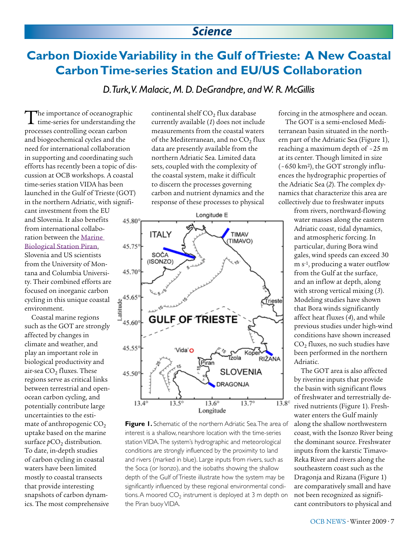### *Science*

# **Carbon Dioxide Variability in the Gulf of Trieste: A New Coastal Carbon Time-series Station and EU/US Collaboration**

*D. Turk, V. Malacic, M. D. DeGrandpre, and W. R. McGillis*

The importance of oceanographic time-series for understanding the processes controlling ocean carbon and biogeochemical cycles and the need for international collaboration in supporting and coordinating such efforts has recently been a topic of discussion at OCB workshops. A coastal time-series station VIDA has been launched in the Gulf of Trieste (GOT) in the northern Adriatic, with significant investment from the EU and Slovenia. It also benefits from international collaboration between the [Marine](http://www.mbss.org/portal/index.php?lang=en)  [Biological Station Piran](http://www.mbss.org/portal/index.php?lang=en), Slovenia and US scientists from the University of Montana and Columbia University. Their combined efforts are focused on inorganic carbon cycling in this unique coastal environment.

Coastal marine regions such as the GOT are strongly affected by changes in climate and weather, and play an important role in biological productivity and air-sea  $CO<sub>2</sub>$  fluxes. These regions serve as critical links between terrestrial and openocean carbon cycling, and potentially contribute large uncertainties to the estimate of anthropogenic  $CO<sub>2</sub>$ uptake based on the marine surface  $pCO<sub>2</sub>$  distribution. To date, in-depth studies of carbon cycling in coastal waters have been limited mostly to coastal transects that provide interesting snapshots of carbon dynamics. The most comprehensive

continental shelf  $CO<sub>2</sub>$  flux database currently available (*1*) does not include measurements from the coastal waters of the Mediterranean, and no CO<sub>2</sub> flux data are presently available from the northern Adriatic Sea. Limited data sets, coupled with the complexity of the coastal system, make it difficult to discern the processes governing carbon and nutrient dynamics and the response of these processes to physical



**Figure 1.** Schematic of the northern Adriatic Sea. The area of interest is a shallow, nearshore location with the time-series station VIDA. The system's hydrographic and meteorological conditions are strongly influenced by the proximity to land and rivers (marked in blue). Large inputs from rivers, such as the Soca (or Isonzo), and the isobaths showing the shallow depth of the Gulf of Trieste illustrate how the system may be significantly influenced by these regional environmental conditions. A moored  $CO<sub>2</sub>$  instrument is deployed at 3 m depth on the Piran buoy VIDA.

forcing in the atmosphere and ocean.

The GOT is a semi-enclosed Mediterranean basin situated in the northern part of the Adriatic Sea (Figure 1), reaching a maximum depth of ~25 m at its center. Though limited in size ( ~650 km2), the GOT strongly influences the hydrographic properties of the Adriatic Sea (*2*). The complex dynamics that characterize this area are collectively due to freshwater inputs

> from rivers, northward-flowing water masses along the eastern Adriatic coast, tidal dynamics, and atmospheric forcing. In particular, during Bora wind gales, wind speeds can exceed 30 m s-1, producing a water outflow from the Gulf at the surface, and an inflow at depth, along with strong vertical mixing (*3*). Modeling studies have shown that Bora winds significantly affect heat fluxes (*4*), and while previous studies under high-wind conditions have shown increased  $CO<sub>2</sub>$  fluxes, no such studies have been performed in the northern Adriatic.

> The GOT area is also affected by riverine inputs that provide the basin with significant flows of freshwater and terrestrially derived nutrients (Figure 1). Freshwater enters the Gulf mainly along the shallow northwestern coast, with the Isonzo River being the dominant source. Freshwater inputs from the karstic Timavo-Reka River and rivers along the southeastern coast such as the Dragonja and Rizana (Figure 1) are comparatively small and have not been recognized as significant contributors to physical and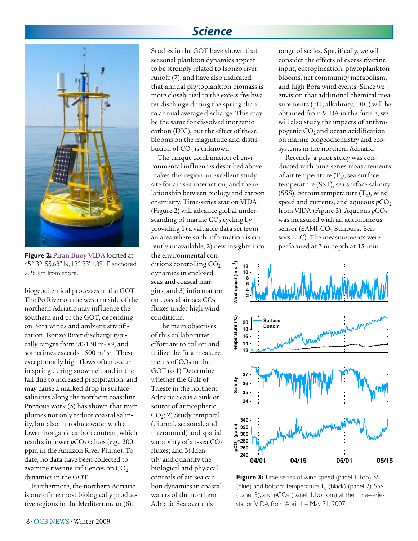### *Science*



**Figure 2: [Piran Buoy VIDA](http://buoy.mbss.org/portal/index.php)** located at 45° 32' 55.68'' N, 13° 33' 1.89'' E anchored 2.28 km from shore.

biogeochemical processes in the GOT. The Po River on the western side of the northern Adriatic may influence the southern end of the GOT, depending on Bora winds and ambient stratification. Isonzo River discharge typically ranges from 90-130  $m<sup>3</sup> s<sup>-1</sup>$ , and sometimes exceeds 1500 m<sup>3</sup> s<sup>-1</sup>. These exceptionally high flows often occur in spring during snowmelt and in the fall due to increased precipitation, and may cause a marked drop in surface salinities along the northern coastline. Previous work (5) has shown that river plumes not only reduce coastal salinity, but also introduce water with a lower inorganic carbon content, which results in lower  $pCO<sub>2</sub>$  values (e.g., 200 ppm in the Amazon River Plume). To date, no data have been collected to examine riverine influences on  $CO<sub>2</sub>$ dynamics in the GOT.

Furthermore, the northern Adriatic is one of the most biologically productive regions in the Mediterranean (6).

Studies in the GOT have shown that seasonal plankton dynamics appear to be strongly related to Isonzo river runoff (7), and have also indicated that annual phytoplankton biomass is more closely tied to the excess freshwater discharge during the spring than to annual average discharge. This may be the same for dissolved inorganic carbon (DIC), but the effect of these blooms on the magnitude and distribution of  $CO<sub>2</sub>$  is unknown.

The unique combination of environmental influences described above makes this region an excellent study site for air-sea interaction, and the relationship between biology and carbon chemistry. Time-series station VIDA (Figure 2) will advance global understanding of marine  $CO<sub>2</sub>$  cycling by providing 1) a valuable data set from an area where such information is currently unavailable; 2) new insights into

the environmental conditions controlling  $CO<sub>2</sub>$ dynamics in enclosed seas and coastal margins; and 3) information on coastal air-sea CO<sub>2</sub> fluxes under high-wind conditions.

The main objectives of this collaborative effort are to collect and utilize the first measurements of  $CO<sub>2</sub>$  in the GOT to 1) Determine whether the Gulf of Trieste in the northern Adriatic Sea is a sink or source of atmospheric  $CO<sub>2</sub>$ ; 2) Study temporal (diurnal, seasonal, and interannual) and spatial variability of air-sea  $CO<sub>2</sub>$ fluxes; and 3) Identify and quantify the biological and physical controls of air-sea carbon dynamics in coastal waters of the northern Adriatic Sea over this

range of scales. Specifically, we will consider the effects of excess riverine input, eutrophication, phytoplankton blooms, net community metabolism, and high Bora wind events. Since we envision that additional chemical measurements (pH, alkalinity, DIC) will be obtained from VIDA in the future, we will also study the impacts of anthropogenic  $CO<sub>2</sub>$  and ocean acidification on marine biogeochemistry and ecosystems in the northern Adriatic.

Recently, a pilot study was conducted with time-series measurements of air temperature  $(T_a)$ , sea surface temperature (SST), sea surface salinity (SSS), bottom temperature  $(T_b)$ , wind speed and currents, and aqueous *p*CO<sub>2</sub> from VIDA (Figure 3). Aqueous *p*CO<sub>2</sub> was measured with an autonomous sensor (SAMI-CO<sub>2</sub> Sunburst Sensors LLC). The measurements were performed at 3 m depth at 15-min



**Figure 3:** Time-series of wind speed (panel 1, top), SST (blue) and bottom temperature  $T_b$  (black) (panel 2), SSS (panel 3), and  $pCO<sub>2</sub>$  (panel 4, bottom) at the time-series station VIDA from April 1 - May 31, 2007.